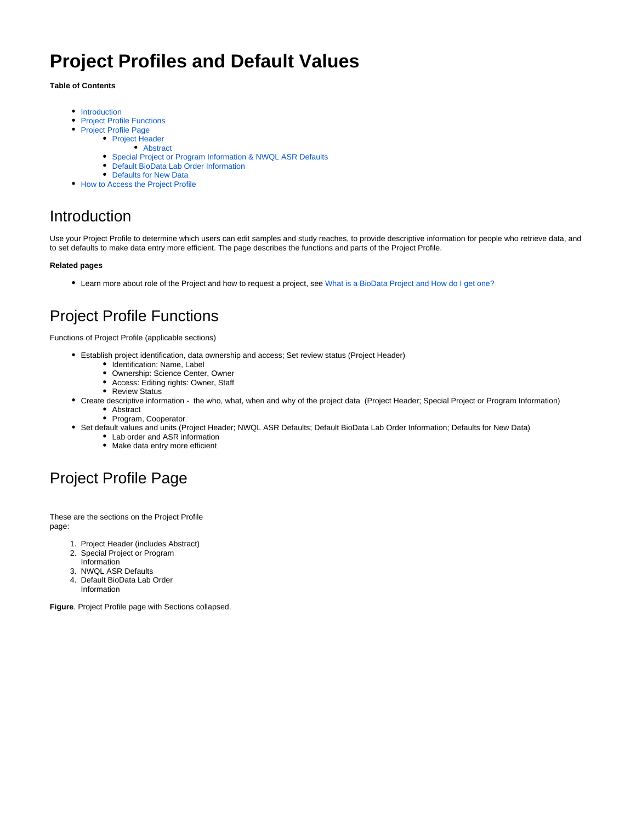# **Project Profiles and Default Values**

#### **Table of Contents**

- [Introduction](#page-0-0)
- $\bullet$ [Project Profile Functions](#page-0-1)
- [Project Profile Page](#page-0-2)
	- [Project Header](#page-1-0)
		- [Abstract](#page-2-0)
	- [Special Project or Program Information & NWQL ASR Defaults](#page-2-1)
	- [Default BioData Lab Order Information](#page-3-0)
	- [Defaults for New Data](#page-3-1)
- [How to Access the Project Profile](#page-3-2)

## <span id="page-0-0"></span>Introduction

Use your Project Profile to determine which users can edit samples and study reaches, to provide descriptive information for people who retrieve data, and to set defaults to make data entry more efficient. The page describes the functions and parts of the Project Profile.

#### **Related pages**

Learn more about role of the Project and how to request a project, see [What is a BioData Project and How do I get one?](https://my.usgs.gov/confluence/pages/viewpage.action?pageId=256999502)

## <span id="page-0-1"></span>Project Profile Functions

Functions of Project Profile (applicable sections)

- Establish project identification, data ownership and access; Set review status (Project Header)
	- Identification: Name, Label
	- Ownership: Science Center, Owner
	- Access: Editing rights: Owner, Staff
	- Review Status
- Create descriptive information the who, what, when and why of the project data (Project Header; Special Project or Program Information) • Abstract
	- Program, Cooperator
- Set default values and units (Project Header; NWQL ASR Defaults; Default BioData Lab Order Information; Defaults for New Data)
	- Lab order and ASR information
	- Make data entry more efficient

## <span id="page-0-2"></span>Project Profile Page

These are the sections on the Project Profile page:

- 1. Project Header (includes Abstract)
- 2. Special Project or Program
- Information
- 3. NWQL ASR Defaults
- 4. Default BioData Lab Order Information

**Figure**. Project Profile page with Sections collapsed.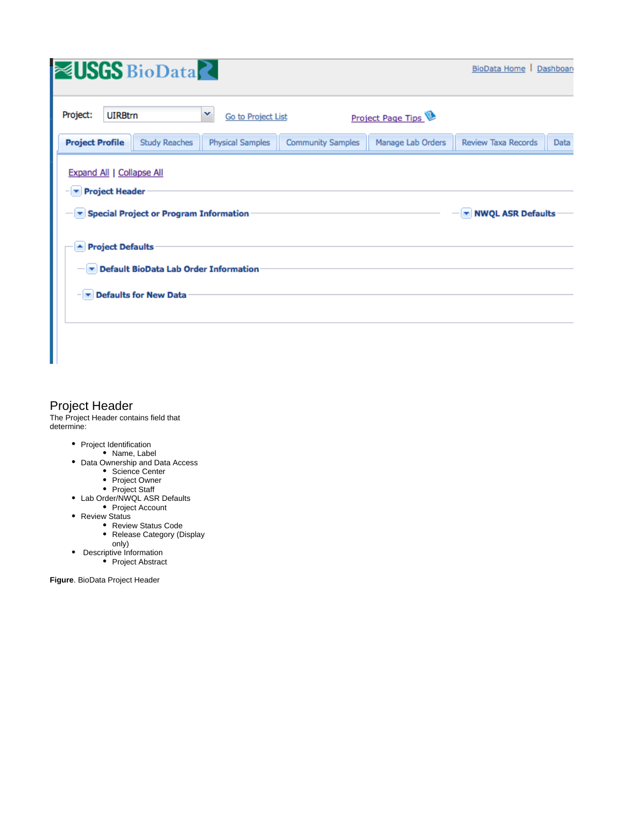| Project:<br><b>UIRBtrn</b><br>×<br>Project Page Tips<br>Go to Project List<br><b>Project Profile</b><br><b>Study Reaches</b><br><b>Community Samples</b><br><b>Review Taxa Records</b><br><b>Physical Samples</b><br>Manage Lab Orders<br>Expand All   Collapse All<br>$\blacktriangleright$ Project Header<br>Special Project or Program Information<br>▼ NWQL ASR Defaults<br>▲ Project Defaults<br>Default BioData Lab Order Information<br>$ \triangledown$ Defaults for New Data | <b>NUSGS</b> BioData | BioData Home   Dashboan |
|---------------------------------------------------------------------------------------------------------------------------------------------------------------------------------------------------------------------------------------------------------------------------------------------------------------------------------------------------------------------------------------------------------------------------------------------------------------------------------------|----------------------|-------------------------|
|                                                                                                                                                                                                                                                                                                                                                                                                                                                                                       |                      |                         |
|                                                                                                                                                                                                                                                                                                                                                                                                                                                                                       |                      | Data                    |
|                                                                                                                                                                                                                                                                                                                                                                                                                                                                                       |                      |                         |
|                                                                                                                                                                                                                                                                                                                                                                                                                                                                                       |                      |                         |

### <span id="page-1-0"></span>Project Header

The Project Header contains field that determine:

- Project Identification
	- Name, Label
- Data Ownership and Data Access
	- Science Center
	- Project Owner Project Staff
- Lab Order/NWQL ASR Defaults
- Project Account
- Review Status
	- Review Status Code
	- Release Category (Display
	- only)
- Descriptive Information Project Abstract

**Figure**. BioData Project Header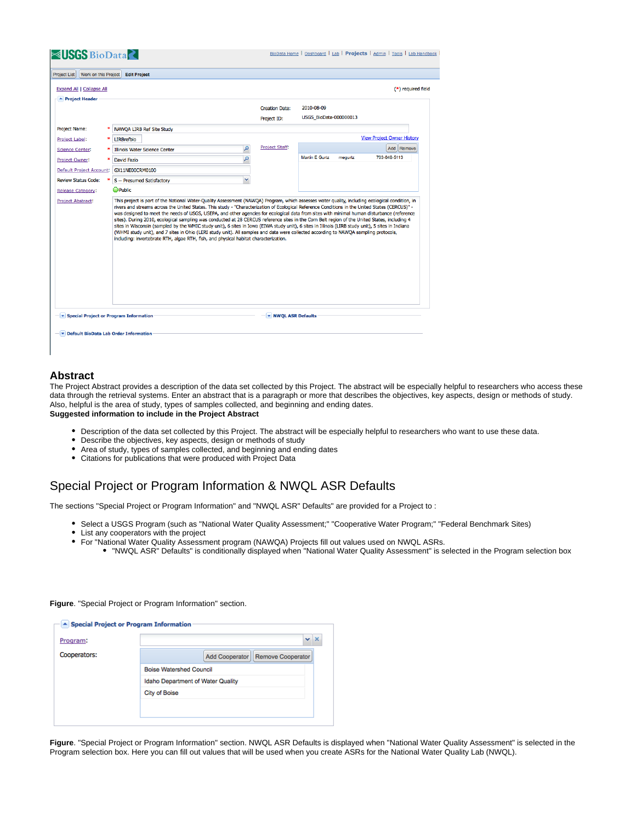| Work on this Project<br><b>Project List</b>                                                                           |   | <b>Edit Project</b>                                                                                                                                                                                                                                                                                                                                                                                                                                                                                                                                                                                                                                                                                                                                                                                                                 |                            |                                  |                                   |
|-----------------------------------------------------------------------------------------------------------------------|---|-------------------------------------------------------------------------------------------------------------------------------------------------------------------------------------------------------------------------------------------------------------------------------------------------------------------------------------------------------------------------------------------------------------------------------------------------------------------------------------------------------------------------------------------------------------------------------------------------------------------------------------------------------------------------------------------------------------------------------------------------------------------------------------------------------------------------------------|----------------------------|----------------------------------|-----------------------------------|
| Expand All   Collapse All                                                                                             |   |                                                                                                                                                                                                                                                                                                                                                                                                                                                                                                                                                                                                                                                                                                                                                                                                                                     |                            |                                  | (*) required field                |
| Project Header                                                                                                        |   |                                                                                                                                                                                                                                                                                                                                                                                                                                                                                                                                                                                                                                                                                                                                                                                                                                     |                            |                                  |                                   |
|                                                                                                                       |   |                                                                                                                                                                                                                                                                                                                                                                                                                                                                                                                                                                                                                                                                                                                                                                                                                                     | <b>Creation Date:</b>      | 2010-08-09                       |                                   |
|                                                                                                                       |   |                                                                                                                                                                                                                                                                                                                                                                                                                                                                                                                                                                                                                                                                                                                                                                                                                                     | Project ID:                | <b>USGS BioData-000000013</b>    |                                   |
| Project Name:                                                                                                         |   | NAWOA LIRB Ref Site Study                                                                                                                                                                                                                                                                                                                                                                                                                                                                                                                                                                                                                                                                                                                                                                                                           |                            |                                  |                                   |
| <b>Project Label:</b>                                                                                                 | ∗ | <b>LIRBrefbio</b>                                                                                                                                                                                                                                                                                                                                                                                                                                                                                                                                                                                                                                                                                                                                                                                                                   |                            |                                  | <b>View Project Owner History</b> |
| <b>Science Center:</b>                                                                                                |   | Illinois Water Science Center                                                                                                                                                                                                                                                                                                                                                                                                                                                                                                                                                                                                                                                                                                                                                                                                       | <b>Project Staff:</b><br>Q |                                  | Add Remove                        |
| Project Owner:                                                                                                        |   | <b>David Fazio</b>                                                                                                                                                                                                                                                                                                                                                                                                                                                                                                                                                                                                                                                                                                                                                                                                                  | Q                          | <b>Martin E Gurtz</b><br>megurtz | 703-648-5113                      |
|                                                                                                                       |   |                                                                                                                                                                                                                                                                                                                                                                                                                                                                                                                                                                                                                                                                                                                                                                                                                                     |                            |                                  |                                   |
|                                                                                                                       |   | GX11NE00CRM0100                                                                                                                                                                                                                                                                                                                                                                                                                                                                                                                                                                                                                                                                                                                                                                                                                     |                            |                                  |                                   |
|                                                                                                                       |   | S -- Presumed Satisfactory                                                                                                                                                                                                                                                                                                                                                                                                                                                                                                                                                                                                                                                                                                                                                                                                          | v                          |                                  |                                   |
| <b>Default Project Account:</b><br><b>Review Status Code:</b><br><b>Release Category:</b><br><b>Project Abstract:</b> |   | <b>O</b> Public<br>This project is part of the National Water-Ouality Assessment (NAWOA) Program, which assesses water quality, including ecological condition, in                                                                                                                                                                                                                                                                                                                                                                                                                                                                                                                                                                                                                                                                  |                            |                                  |                                   |
|                                                                                                                       |   | rivers and streams across the United States. This study - "Characterization of Ecological Reference Conditions in the United States (CERCUS)" -<br>was designed to meet the needs of USGS, USEPA, and other agencies for ecological data from sites with minimal human disturbance (reference<br>sites). During 2010, ecological sampling was conducted at 28 CERCUS reference sites in the Corn Belt region of the United States, including 4<br>sites in Wisconsin (sampled by the WMIC study unit), 6 sites in Iowa (EIWA study unit), 6 sites in Illinois (LIRB study unit), 5 sites in Indiana<br>(WHMI study unit), and 7 sites in Ohio (LERI study unit). All samples and data were collected according to NAWQA sampling protocols,<br>including: invertebrate RTH, algae RTH, fish, and physical habitat characterization. |                            |                                  |                                   |

#### <span id="page-2-0"></span>**Abstract**

The Project Abstract provides a description of the data set collected by this Project. The abstract will be especially helpful to researchers who access these data through the retrieval systems. Enter an abstract that is a paragraph or more that describes the objectives, key aspects, design or methods of study. Also, helpful is the area of study, types of samples collected, and beginning and ending dates. **Suggested information to include in the Project Abstract**

- Description of the data set collected by this Project. The abstract will be especially helpful to researchers who want to use these data.
- Describe the objectives, key aspects, design or methods of study
- Area of study, types of samples collected, and beginning and ending dates
- $\bullet$ Citations for publications that were produced with Project Data

### <span id="page-2-1"></span>Special Project or Program Information & NWQL ASR Defaults

The sections "Special Project or Program Information" and "NWQL ASR" Defaults" are provided for a Project to :

- Select a USGS Program (such as "National Water Quality Assessment;" "Cooperative Water Program;" "Federal Benchmark Sites)
- List any cooperators with the project
- For "National Water Quality Assessment program (NAWQA) Projects fill out values used on NWQL ASRs.
	- "NWQL ASR" Defaults" is conditionally displayed when "National Water Quality Assessment" is selected in the Program selection box

**Figure**. "Special Project or Program Information" section.

| ▲ Special Project or Program Information   |
|--------------------------------------------|
| $\boldsymbol{\times}$<br>v.                |
| <b>Remove Cooperator</b><br>Add Cooperator |
| <b>Boise Watershed Council</b>             |
| Idaho Department of Water Quality          |
| <b>City of Boise</b>                       |
|                                            |
|                                            |
|                                            |

**Figure**. "Special Project or Program Information" section. NWQL ASR Defaults is displayed when "National Water Quality Assessment" is selected in the Program selection box. Here you can fill out values that will be used when you create ASRs for the National Water Quality Lab (NWQL).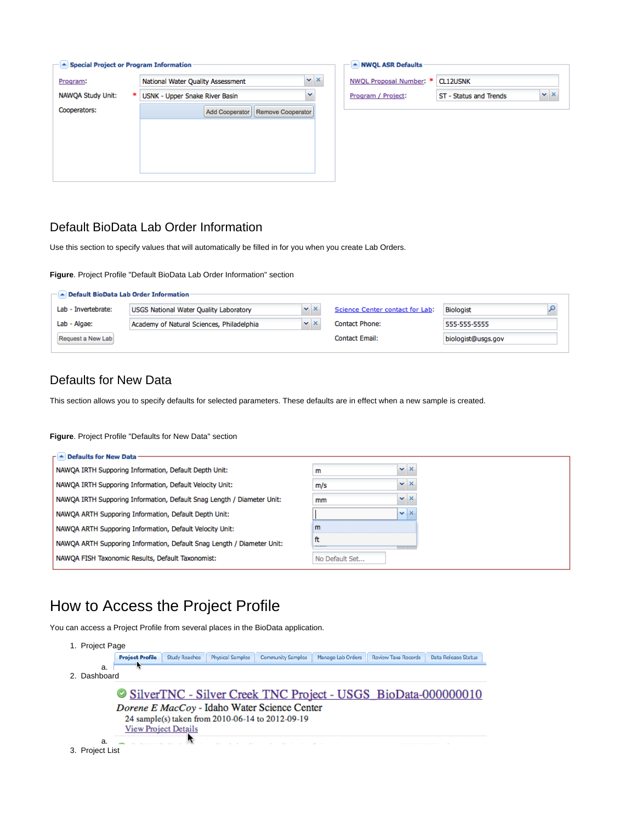| ▲ Special Project or Program Information |                                            |   |                   |
|------------------------------------------|--------------------------------------------|---|-------------------|
| Program:                                 | National Water Quality Assessment          |   | $\times$ $\times$ |
| <b>NAWQA Study Unit:</b><br>∗            | <b>USNK - Upper Snake River Basin</b>      | v |                   |
| Cooperators:                             | Add Cooperator<br><b>Remove Cooperator</b> |   |                   |
|                                          |                                            |   |                   |
|                                          |                                            |   |                   |
|                                          |                                            |   |                   |
|                                          |                                            |   |                   |

| NWQL ASR Defaults                  |                        |              |
|------------------------------------|------------------------|--------------|
| NWQL Proposal Number: *   CL12USNK |                        |              |
| Program / Project:                 | ST - Status and Trends | $\mathbf{X}$ |
|                                    |                        |              |

### <span id="page-3-0"></span>Default BioData Lab Order Information

Use this section to specify values that will automatically be filled in for you when you create Lab Orders.

**Figure**. Project Profile "Default BioData Lab Order Information" section

|                     | $ \blacktriangle$ Default BioData Lab Order Information |                   |                                 |                    |  |
|---------------------|---------------------------------------------------------|-------------------|---------------------------------|--------------------|--|
| Lab - Invertebrate: | <b>USGS National Water Quality Laboratory</b>           | $\times$ $\times$ | Science Center contact for Lab: | <b>Biologist</b>   |  |
| Lab - Algae:        | Academy of Natural Sciences, Philadelphia               | $\times$ $\times$ | <b>Contact Phone:</b>           | 555-555-5555       |  |
| Request a New Lab   |                                                         |                   | <b>Contact Email:</b>           | biologist@usgs.gov |  |
|                     |                                                         |                   |                                 |                    |  |

### <span id="page-3-1"></span>Defaults for New Data

This section allows you to specify defaults for selected parameters. These defaults are in effect when a new sample is created.

#### **Figure**. Project Profile "Defaults for New Data" section

| $\Gamma$ $\triangle$ Defaults for New Data                             |                            |
|------------------------------------------------------------------------|----------------------------|
| NAWQA IRTH Supporing Information, Default Depth Unit:                  | $\mathbf{v} \times$<br>m   |
| NAWOA IRTH Supporing Information, Default Velocity Unit:               | $\mathbf{v} \times$<br>m/s |
| NAWQA IRTH Supporing Information, Default Snag Length / Diameter Unit: | $\mathbf{v} \times$<br>mm  |
| NAWQA ARTH Supporing Information, Default Depth Unit:                  | $\mathbf{v} \times$        |
| NAWOA ARTH Supporing Information, Default Velocity Unit:               | m                          |
| NAWQA ARTH Supporing Information, Default Snag Length / Diameter Unit: | ft<br><br>__               |
| NAWOA FISH Taxonomic Results, Default Taxonomist:                      | No Default Set             |

## <span id="page-3-2"></span>How to Access the Project Profile

You can access a Project Profile from several places in the BioData application.

| 1. Project Page    |                        |                             |                                                                                                  |                   |                                                           |                     |
|--------------------|------------------------|-----------------------------|--------------------------------------------------------------------------------------------------|-------------------|-----------------------------------------------------------|---------------------|
|                    | <b>Project Profile</b> | <b>Study Reaches</b>        |                                                                                                  | Manage Lab Orders | <b>Review Taxa Records</b>                                | Data Release Status |
| a.<br>2. Dashboard |                        |                             |                                                                                                  |                   |                                                           |                     |
|                    |                        |                             |                                                                                                  |                   | SilverTNC - Silver Creek TNC Project - USGS BioData-00000 |                     |
|                    |                        |                             | Dorene E MacCoy - Idaho Water Science Center<br>24 sample(s) taken from 2010-06-14 to 2012-09-19 |                   |                                                           |                     |
|                    |                        | <b>View Project Details</b> |                                                                                                  |                   |                                                           |                     |
| a.                 |                        |                             |                                                                                                  |                   |                                                           |                     |